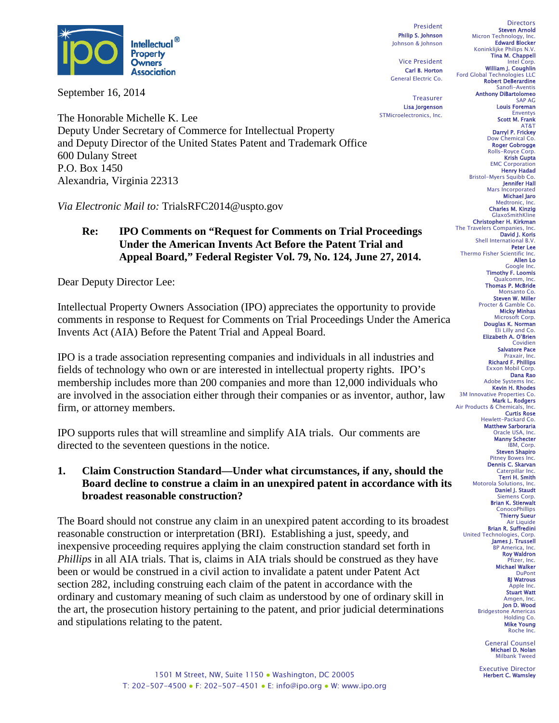

September 16, 2014

The Honorable Michelle K. Lee Deputy Under Secretary of Commerce for Intellectual Property and Deputy Director of the United States Patent and Trademark Office 600 Dulany Street P.O. Box 1450 Alexandria, Virginia 22313

*Via Electronic Mail to:* TrialsRFC2014@uspto.gov

#### **Re: IPO Comments on "Request for Comments on Trial Proceedings Under the American Invents Act Before the Patent Trial and Appeal Board," Federal Register Vol. 79, No. 124, June 27, 2014.**

Dear Deputy Director Lee:

Intellectual Property Owners Association (IPO) appreciates the opportunity to provide comments in response to Request for Comments on Trial Proceedings Under the America Invents Act (AIA) Before the Patent Trial and Appeal Board.

IPO is a trade association representing companies and individuals in all industries and fields of technology who own or are interested in intellectual property rights. IPO's membership includes more than 200 companies and more than 12,000 individuals who are involved in the association either through their companies or as inventor, author, law firm, or attorney members.

IPO supports rules that will streamline and simplify AIA trials. Our comments are directed to the seventeen questions in the notice.

**1. Claim Construction Standard—Under what circumstances, if any, should the Board decline to construe a claim in an unexpired patent in accordance with its broadest reasonable construction?**

The Board should not construe any claim in an unexpired patent according to its broadest reasonable construction or interpretation (BRI). Establishing a just, speedy, and inexpensive proceeding requires applying the claim construction standard set forth in *Phillips* in all AIA trials. That is, claims in AIA trials should be construed as they have been or would be construed in a civil action to invalidate a patent under Patent Act section 282, including construing each claim of the patent in accordance with the ordinary and customary meaning of such claim as understood by one of ordinary skill in the art, the prosecution history pertaining to the patent, and prior judicial determinations and stipulations relating to the patent.

President Philip S. Johnson Johnson & Johnson

Vice President Carl B. Horton General Electric Co.

**Treasurer** Lisa Jorgenson STMicroelectronics, Inc.

**Directors** Steven Arnold Micron Technology, Inc. Edward Blocker Koninklijke Philips N.V. Tina M. Chappell Intel Corp. William J. Coughlin Ford Global Technologies LLC Robert DeBerardine Sanofi-Aventis Anthony DiBartolomeo SAP AG Louis Foreman Enventys Scott M. Frank AT&T Darryl P. Frickey Dow Chemical Co. Roger Gobrogge Rolls-Royce Corp. Krish Gupta EMC Corporation Henry Hadad Bristol-Myers Squibb Co. Jennifer Hall Mars Incorporated Michael Jaro Medtronic, Inc. Charles M. Kinzig GlaxoSmithKline Christopher H. Kirkman The Travelers Companies, Inc.<br>**David J. Koris** Shell International B.V. Peter Lee Thermo Fisher Scientific Inc. Allen Lo Google Inc. Timothy F. Loomis Qualcomm, Inc. Thomas P. McBride Monsanto Co. Steven W. Miller Procter & Gamble Co. Micky Minhas Microsoft Corp. Douglas K. Norman Eli Lilly and Co. Elizabeth A. O'Brien Covidien Salvatore Pace Praxair, Inc.<br>**Richard F. Phillips** Exxon Mobil Corp. Dana Rao Adobe Systems Inc. Kevin H. Rhodes 3M Innovative Properties Co. Mark L. Rodgers Air Products & Chemicals, Inc. Curtis Rose Hewlett-Packard Co. Matthew Sarboraria Oracle USA, Inc. Manny Schecter IBM, Corp. Steven Shapiro Pitney Bowes Inc. Dennis C. Skarvan Caterpillar Inc. Terri H. Smith Motorola Solutions, Inc. Daniel J. Staudt Siemens Corp. Brian K. Stierwalt **ConocoPhillips** Thierry Sueur Air Liquide **Brian R. Suffredini**<br>echnologies, Corp. United Technologies, James J. Trussell BP America, Inc. Roy Waldron Pfizer, Inc. Michael Walker DuPont **BI Watrous** Apple Inc. Stuart Watt Amgen, Inc. Jon D. Wood Bridgestone Americas Holding Co. Mike Young Roche Inc. General Counsel

Michael D. Nolan Milbank Tweed

Executive Director Herbert C. Wamsley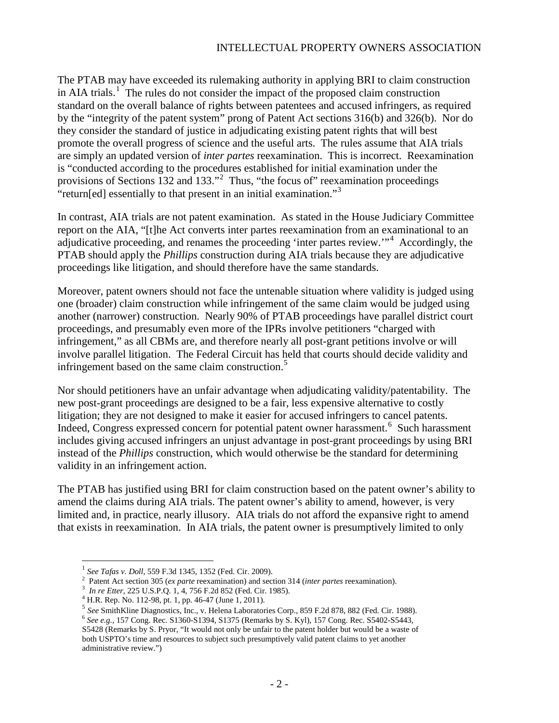# INTELLECTUAL PROPERTY OWNERS ASSOCIATION

The PTAB may have exceeded its rulemaking authority in applying BRI to claim construction in AIA trials.<sup>[1](#page-1-0)</sup> The rules do not consider the impact of the proposed claim construction standard on the overall balance of rights between patentees and accused infringers, as required by the "integrity of the patent system" prong of Patent Act sections 316(b) and 326(b). Nor do they consider the standard of justice in adjudicating existing patent rights that will best promote the overall progress of science and the useful arts. The rules assume that AIA trials are simply an updated version of *inter partes* reexamination. This is incorrect. Reexamination is "conducted according to the procedures established for initial examination under the provisions of Sections 13[2](#page-1-1) and 133."<sup>2</sup> Thus, "the focus of" reexamination proceedings "return[ed] essentially to that present in an initial examination."<sup>[3](#page-1-2)</sup>

In contrast, AIA trials are not patent examination. As stated in the House Judiciary Committee report on the AIA, "[t]he Act converts inter partes reexamination from an examinational to an adjudicative proceeding, and renames the proceeding 'inter partes review."<sup>[4](#page-1-3)</sup> Accordingly, the PTAB should apply the *Phillips* construction during AIA trials because they are adjudicative proceedings like litigation, and should therefore have the same standards.

Moreover, patent owners should not face the untenable situation where validity is judged using one (broader) claim construction while infringement of the same claim would be judged using another (narrower) construction. Nearly 90% of PTAB proceedings have parallel district court proceedings, and presumably even more of the IPRs involve petitioners "charged with infringement," as all CBMs are, and therefore nearly all post-grant petitions involve or will involve parallel litigation. The Federal Circuit has held that courts should decide validity and infringement based on the same claim construction.<sup>[5](#page-1-4)</sup>

Nor should petitioners have an unfair advantage when adjudicating validity/patentability. The new post-grant proceedings are designed to be a fair, less expensive alternative to costly litigation; they are not designed to make it easier for accused infringers to cancel patents. Indeed, Congress expressed concern for potential patent owner harassment.<sup>[6](#page-1-5)</sup> Such harassment includes giving accused infringers an unjust advantage in post-grant proceedings by using BRI instead of the *Phillips* construction, which would otherwise be the standard for determining validity in an infringement action.

The PTAB has justified using BRI for claim construction based on the patent owner's ability to amend the claims during AIA trials. The patent owner's ability to amend, however, is very limited and, in practice, nearly illusory. AIA trials do not afford the expansive right to amend that exists in reexamination. In AIA trials, the patent owner is presumptively limited to only

<span id="page-1-0"></span> <sup>1</sup> *See Tafas v. Doll*, 559 F.3d 1345, 1352 (Fed. Cir. 2009).

<sup>&</sup>lt;sup>2</sup> Patent Act section 305 (*ex parte* reexamination) and section 314 (*inter partes* reexamination).

<span id="page-1-4"></span>

<span id="page-1-3"></span><span id="page-1-2"></span><span id="page-1-1"></span><sup>&</sup>lt;sup>3</sup> *In re Etter*, 225 U.S.P.Q. 1, 4, 756 F.2d 852 (Fed. Cir. 1985).<br>
<sup>4</sup> H.R. Rep. No. 112-98, pt. 1, pp. 46-47 (June 1, 2011).<br>
<sup>5</sup> *See* SmithKline Diagnostics, Inc., v. Helena Laboratories Corp., 859 F.2d 878, 882 (Fe

<span id="page-1-5"></span>S5428 (Remarks by S. Pryor, "It would not only be unfair to the patent holder but would be a waste of both USPTO's time and resources to subject such presumptively valid patent claims to yet another administrative review.")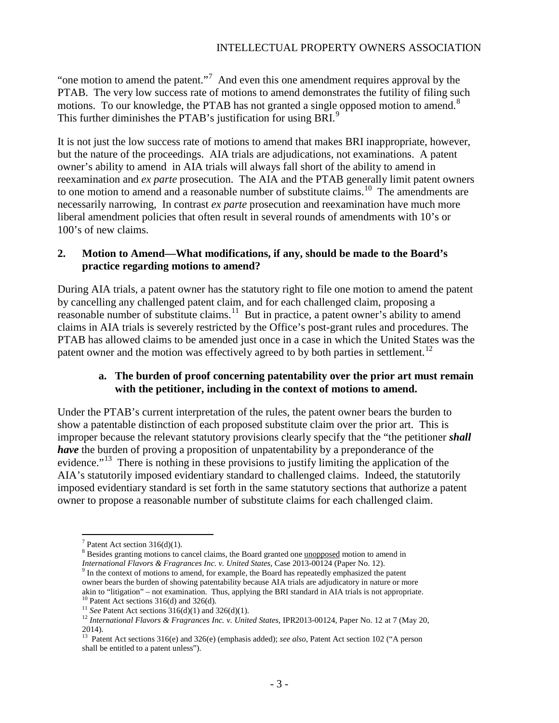"one motion to amend the patent."<sup>[7](#page-2-0)</sup> And even this one amendment requires approval by the PTAB. The very low success rate of motions to amend demonstrates the futility of filing such motions. To our knowledge, the PTAB has not granted a single opposed motion to amend.<sup>[8](#page-2-1)</sup> This further diminishes the PTAB's justification for using BRI.<sup>[9](#page-2-2)</sup>

It is not just the low success rate of motions to amend that makes BRI inappropriate, however, but the nature of the proceedings. AIA trials are adjudications, not examinations. A patent owner's ability to amend in AIA trials will always fall short of the ability to amend in reexamination and *ex parte* prosecution. The AIA and the PTAB generally limit patent owners to one motion to amend and a reasonable number of substitute claims.<sup>10</sup> The amendments are necessarily narrowing, In contrast *ex parte* prosecution and reexamination have much more liberal amendment policies that often result in several rounds of amendments with 10's or 100's of new claims.

## **2. Motion to Amend—What modifications, if any, should be made to the Board's practice regarding motions to amend?**

During AIA trials, a patent owner has the statutory right to file one motion to amend the patent by cancelling any challenged patent claim, and for each challenged claim, proposing a reasonable number of substitute claims.<sup>11</sup> But in practice, a patent owner's ability to amend claims in AIA trials is severely restricted by the Office's post-grant rules and procedures. The PTAB has allowed claims to be amended just once in a case in which the United States was the patent owner and the motion was effectively agreed to by both parties in settlement.<sup>[12](#page-2-5)</sup>

## **a. The burden of proof concerning patentability over the prior art must remain with the petitioner, including in the context of motions to amend.**

Under the PTAB's current interpretation of the rules, the patent owner bears the burden to show a patentable distinction of each proposed substitute claim over the prior art. This is improper because the relevant statutory provisions clearly specify that the "the petitioner *shall have* the burden of proving a proposition of unpatentability by a preponderance of the evidence."<sup>13</sup> There is nothing in these provisions to justify limiting the application of the AIA's statutorily imposed evidentiary standard to challenged claims. Indeed, the statutorily imposed evidentiary standard is set forth in the same statutory sections that authorize a patent owner to propose a reasonable number of substitute claims for each challenged claim.

 $<sup>7</sup>$  Patent Act section 316(d)(1).</sup>

<span id="page-2-1"></span><span id="page-2-0"></span><sup>&</sup>lt;sup>8</sup> Besides granting motions to cancel claims, the Board granted one <u>unopposed</u> motion to amend in *International Flavors & Fragrances Inc. v. United States*, Case 2013-00124 (Paper No. 12). <sup>9</sup> In the context of motions to amend, for example, the Board has repeatedly emphasized the patent

<span id="page-2-2"></span>owner bears the burden of showing patentability because AIA trials are adjudicatory in nature or more akin to "litigation" – not examination. Thus, applying the BRI standard in AIA trials is not appropriate.

<span id="page-2-4"></span><span id="page-2-3"></span><sup>&</sup>lt;sup>10</sup> Patent Act sections 316(d) and 326(d).<br><sup>11</sup> See Patent Act sections 316(d)(1) and 326(d)(1).<br><sup>12</sup> International Flavors & Fragrances Inc. v. United States, IPR2013-00124, Paper No. 12 at 7 (May 20, 2014).

<span id="page-2-6"></span><span id="page-2-5"></span><sup>&</sup>lt;sup>13</sup> Patent Act sections 316(e) and 326(e) (emphasis added); *see also*, Patent Act section 102 ("A person shall be entitled to a patent unless").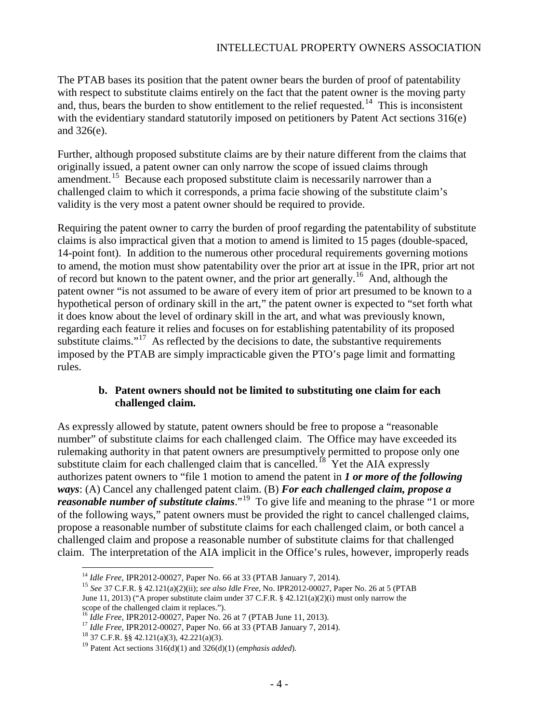The PTAB bases its position that the patent owner bears the burden of proof of patentability with respect to substitute claims entirely on the fact that the patent owner is the moving party and, thus, bears the burden to show entitlement to the relief requested.<sup>[14](#page-3-0)</sup> This is inconsistent with the evidentiary standard statutorily imposed on petitioners by Patent Act sections 316(e) and 326(e).

Further, although proposed substitute claims are by their nature different from the claims that originally issued, a patent owner can only narrow the scope of issued claims through amendment.<sup>15</sup> Because each proposed substitute claim is necessarily narrower than a challenged claim to which it corresponds, a prima facie showing of the substitute claim's validity is the very most a patent owner should be required to provide.

Requiring the patent owner to carry the burden of proof regarding the patentability of substitute claims is also impractical given that a motion to amend is limited to 15 pages (double-spaced, 14-point font). In addition to the numerous other procedural requirements governing motions to amend, the motion must show patentability over the prior art at issue in the IPR, prior art not of record but known to the patent owner, and the prior art generally.<sup>[16](#page-3-2)</sup> And, although the patent owner "is not assumed to be aware of every item of prior art presumed to be known to a hypothetical person of ordinary skill in the art," the patent owner is expected to "set forth what it does know about the level of ordinary skill in the art, and what was previously known, regarding each feature it relies and focuses on for establishing patentability of its proposed substitute claims."<sup>[17](#page-3-3)</sup> As reflected by the decisions to date, the substantive requirements imposed by the PTAB are simply impracticable given the PTO's page limit and formatting rules.

#### **b. Patent owners should not be limited to substituting one claim for each challenged claim.**

As expressly allowed by statute, patent owners should be free to propose a "reasonable number" of substitute claims for each challenged claim. The Office may have exceeded its rulemaking authority in that patent owners are presumptively permitted to propose only one substitute claim for each challenged claim that is cancelled.<sup>[18](#page-3-4)</sup> Yet the AIA expressly authorizes patent owners to "file 1 motion to amend the patent in *1 or more of the following ways*: (A) Cancel any challenged patent claim. (B) *For each challenged claim, propose a reasonable number of substitute claims*."<sup>[19](#page-3-5)</sup> To give life and meaning to the phrase "1 or more of the following ways," patent owners must be provided the right to cancel challenged claims, propose a reasonable number of substitute claims for each challenged claim, or both cancel a challenged claim and propose a reasonable number of substitute claims for that challenged claim. The interpretation of the AIA implicit in the Office's rules, however, improperly reads

<span id="page-3-1"></span><span id="page-3-0"></span><sup>14</sup> *Idle Free*, IPR2012-00027, Paper No. 66 at 33 (PTAB January 7, 2014). <sup>15</sup> *See* 37 C.F.R. § 42.121(a)(2)(ii); *see also Idle Free*, No. IPR2012-00027, Paper No. 26 at 5 (PTAB June 11, 2013) ("A proper substitute claim under 37 C.F.R. § 42.121(a)(2)(i) must only narrow the scope of the challenged claim it replaces.").

<span id="page-3-3"></span><span id="page-3-2"></span><sup>16</sup> *Idle Free*, IPR2012-00027, Paper No. 26 at 7 (PTAB June 11, 2013).<br><sup>17</sup> *Idle Free*, IPR2012-00027, Paper No. 66 at 33 (PTAB January 7, 2014). <sup>18</sup> 37 C.F.R. §§ 42.121(a)(3), 42.221(a)(3).

<span id="page-3-4"></span>

<span id="page-3-5"></span><sup>19</sup> Patent Act sections 316(d)(1) and 326(d)(1) (*emphasis added*).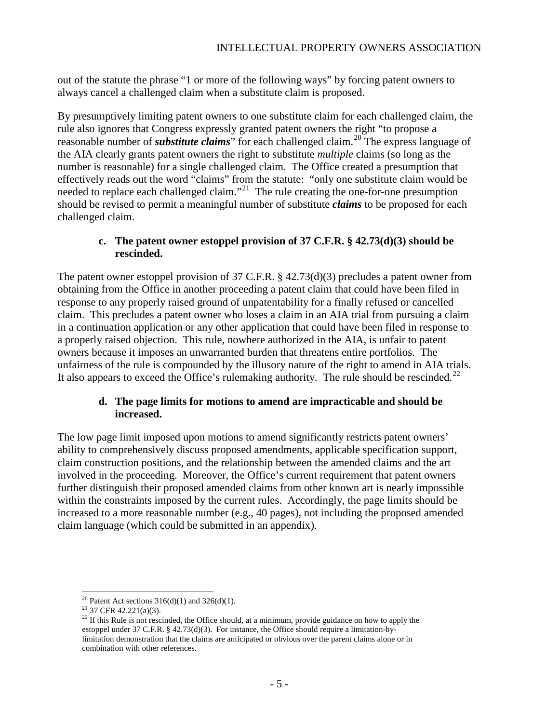out of the statute the phrase "1 or more of the following ways" by forcing patent owners to always cancel a challenged claim when a substitute claim is proposed.

By presumptively limiting patent owners to one substitute claim for each challenged claim, the rule also ignores that Congress expressly granted patent owners the right "to propose a reasonable number of *substitute claims*" for each challenged claim.[20](#page-4-0) The express language of the AIA clearly grants patent owners the right to substitute *multiple* claims (so long as the number is reasonable) for a single challenged claim. The Office created a presumption that effectively reads out the word "claims" from the statute: "only one substitute claim would be needed to replace each challenged claim."<sup>21</sup> The rule creating the one-for-one presumption should be revised to permit a meaningful number of substitute *claims* to be proposed for each challenged claim.

# **c. The patent owner estoppel provision of 37 C.F.R. § 42.73(d)(3) should be rescinded.**

The patent owner estoppel provision of 37 C.F.R. § 42.73(d)(3) precludes a patent owner from obtaining from the Office in another proceeding a patent claim that could have been filed in response to any properly raised ground of unpatentability for a finally refused or cancelled claim. This precludes a patent owner who loses a claim in an AIA trial from pursuing a claim in a continuation application or any other application that could have been filed in response to a properly raised objection. This rule, nowhere authorized in the AIA, is unfair to patent owners because it imposes an unwarranted burden that threatens entire portfolios. The unfairness of the rule is compounded by the illusory nature of the right to amend in AIA trials. It also appears to exceed the Office's rulemaking authority. The rule should be rescinded.<sup>[22](#page-4-2)</sup>

## **d. The page limits for motions to amend are impracticable and should be increased.**

The low page limit imposed upon motions to amend significantly restricts patent owners' ability to comprehensively discuss proposed amendments, applicable specification support, claim construction positions, and the relationship between the amended claims and the art involved in the proceeding. Moreover, the Office's current requirement that patent owners further distinguish their proposed amended claims from other known art is nearly impossible within the constraints imposed by the current rules. Accordingly, the page limits should be increased to a more reasonable number (e.g., 40 pages), not including the proposed amended claim language (which could be submitted in an appendix).

<span id="page-4-2"></span><span id="page-4-1"></span><span id="page-4-0"></span><sup>&</sup>lt;sup>20</sup> Patent Act sections 316(d)(1) and 326(d)(1).<br><sup>21</sup> 37 CFR 42.221(a)(3).<br><sup>22</sup> If this Rule is not rescinded, the Office should, at a minimum, provide guidance on how to apply the estoppel under 37 C.F.R. § 42.73(d)(3). For instance, the Office should require a limitation-bylimitation demonstration that the claims are anticipated or obvious over the parent claims alone or in combination with other references.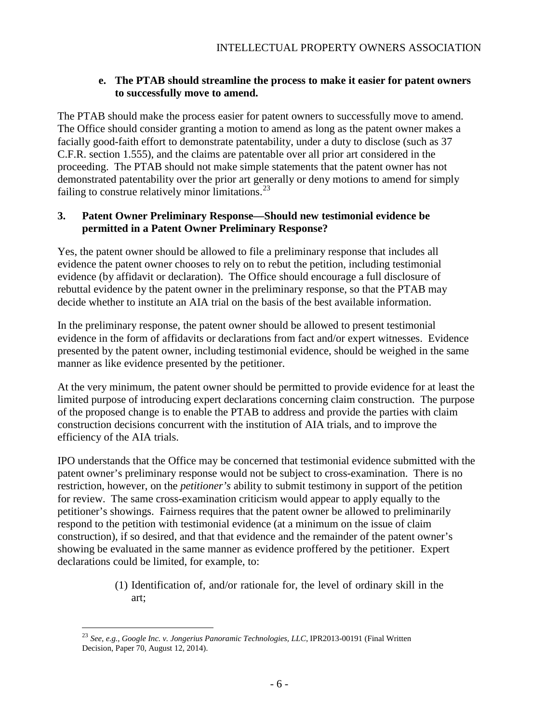#### **e. The PTAB should streamline the process to make it easier for patent owners to successfully move to amend.**

The PTAB should make the process easier for patent owners to successfully move to amend. The Office should consider granting a motion to amend as long as the patent owner makes a facially good-faith effort to demonstrate patentability, under a duty to disclose (such as 37 C.F.R. section 1.555), and the claims are patentable over all prior art considered in the proceeding. The PTAB should not make simple statements that the patent owner has not demonstrated patentability over the prior art generally or deny motions to amend for simply failing to construe relatively minor limitations. $^{23}$  $^{23}$  $^{23}$ 

## **3. Patent Owner Preliminary Response—Should new testimonial evidence be permitted in a Patent Owner Preliminary Response?**

Yes, the patent owner should be allowed to file a preliminary response that includes all evidence the patent owner chooses to rely on to rebut the petition, including testimonial evidence (by affidavit or declaration). The Office should encourage a full disclosure of rebuttal evidence by the patent owner in the preliminary response, so that the PTAB may decide whether to institute an AIA trial on the basis of the best available information.

In the preliminary response, the patent owner should be allowed to present testimonial evidence in the form of affidavits or declarations from fact and/or expert witnesses. Evidence presented by the patent owner, including testimonial evidence, should be weighed in the same manner as like evidence presented by the petitioner.

At the very minimum, the patent owner should be permitted to provide evidence for at least the limited purpose of introducing expert declarations concerning claim construction. The purpose of the proposed change is to enable the PTAB to address and provide the parties with claim construction decisions concurrent with the institution of AIA trials, and to improve the efficiency of the AIA trials.

IPO understands that the Office may be concerned that testimonial evidence submitted with the patent owner's preliminary response would not be subject to cross-examination. There is no restriction, however, on the *petitioner's* ability to submit testimony in support of the petition for review. The same cross-examination criticism would appear to apply equally to the petitioner's showings. Fairness requires that the patent owner be allowed to preliminarily respond to the petition with testimonial evidence (at a minimum on the issue of claim construction), if so desired, and that that evidence and the remainder of the patent owner's showing be evaluated in the same manner as evidence proffered by the petitioner. Expert declarations could be limited, for example, to:

> (1) Identification of, and/or rationale for, the level of ordinary skill in the art;

<span id="page-5-0"></span> <sup>23</sup> *See, e.g., Google Inc. v. Jongerius Panoramic Technologies, LLC*, IPR2013-00191 (Final Written Decision, Paper 70, August 12, 2014).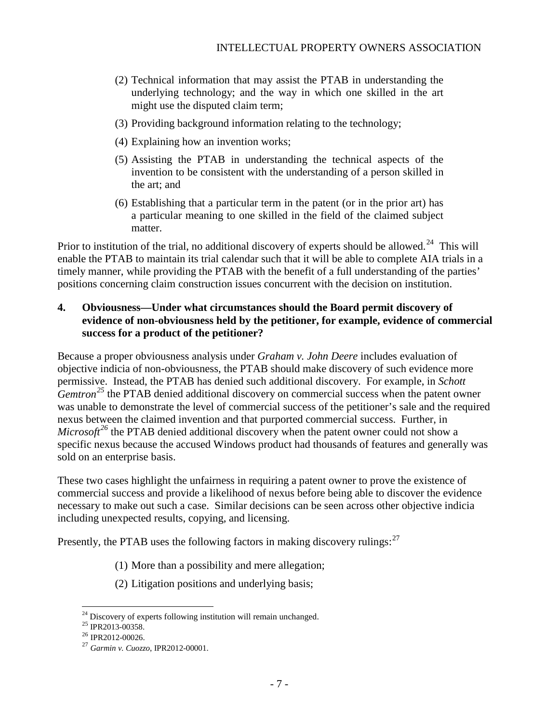- (2) Technical information that may assist the PTAB in understanding the underlying technology; and the way in which one skilled in the art might use the disputed claim term;
- (3) Providing background information relating to the technology;
- (4) Explaining how an invention works;
- (5) Assisting the PTAB in understanding the technical aspects of the invention to be consistent with the understanding of a person skilled in the art; and
- (6) Establishing that a particular term in the patent (or in the prior art) has a particular meaning to one skilled in the field of the claimed subject matter.

Prior to institution of the trial, no additional discovery of experts should be allowed.<sup>[24](#page-6-0)</sup> This will enable the PTAB to maintain its trial calendar such that it will be able to complete AIA trials in a timely manner, while providing the PTAB with the benefit of a full understanding of the parties' positions concerning claim construction issues concurrent with the decision on institution.

### **4. Obviousness—Under what circumstances should the Board permit discovery of evidence of non-obviousness held by the petitioner, for example, evidence of commercial success for a product of the petitioner?**

Because a proper obviousness analysis under *Graham v. John Deere* includes evaluation of objective indicia of non-obviousness, the PTAB should make discovery of such evidence more permissive. Instead, the PTAB has denied such additional discovery. For example, in *Schott Gemtron*<sup>[25](#page-6-1)</sup> the PTAB denied additional discovery on commercial success when the patent owner was unable to demonstrate the level of commercial success of the petitioner's sale and the required nexus between the claimed invention and that purported commercial success. Further, in *Microsoft*<sup>[26](#page-6-2)</sup> the PTAB denied additional discovery when the patent owner could not show a specific nexus because the accused Windows product had thousands of features and generally was sold on an enterprise basis.

These two cases highlight the unfairness in requiring a patent owner to prove the existence of commercial success and provide a likelihood of nexus before being able to discover the evidence necessary to make out such a case. Similar decisions can be seen across other objective indicia including unexpected results, copying, and licensing.

Presently, the PTAB uses the following factors in making discovery rulings: $^{27}$  $^{27}$  $^{27}$ 

- (1) More than a possibility and mere allegation;
- (2) Litigation positions and underlying basis;

<span id="page-6-1"></span><span id="page-6-0"></span><sup>&</sup>lt;sup>24</sup> Discovery of experts following institution will remain unchanged.<br><sup>25</sup> IPR2013-00358.<br><sup>26</sup> IPR2012-00026.<br><sup>27</sup> *Garmin v. Cuozzo*, IPR2012-00001.

<span id="page-6-3"></span><span id="page-6-2"></span>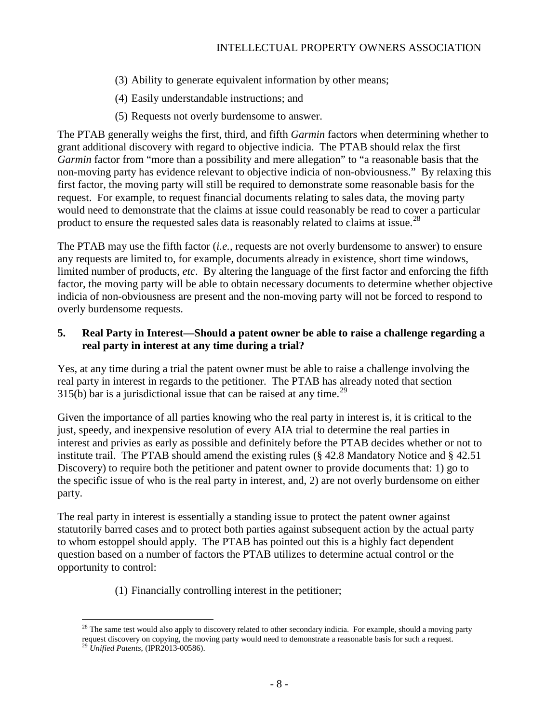- (3) Ability to generate equivalent information by other means;
- (4) Easily understandable instructions; and
- (5) Requests not overly burdensome to answer.

The PTAB generally weighs the first, third, and fifth *Garmin* factors when determining whether to grant additional discovery with regard to objective indicia. The PTAB should relax the first *Garmin* factor from "more than a possibility and mere allegation" to "a reasonable basis that the non-moving party has evidence relevant to objective indicia of non-obviousness." By relaxing this first factor, the moving party will still be required to demonstrate some reasonable basis for the request. For example, to request financial documents relating to sales data, the moving party would need to demonstrate that the claims at issue could reasonably be read to cover a particular product to ensure the requested sales data is reasonably related to claims at issue.<sup>28</sup>

The PTAB may use the fifth factor (*i.e.*, requests are not overly burdensome to answer) to ensure any requests are limited to, for example, documents already in existence, short time windows, limited number of products, *etc*. By altering the language of the first factor and enforcing the fifth factor, the moving party will be able to obtain necessary documents to determine whether objective indicia of non-obviousness are present and the non-moving party will not be forced to respond to overly burdensome requests.

## **5. Real Party in Interest—Should a patent owner be able to raise a challenge regarding a real party in interest at any time during a trial?**

Yes, at any time during a trial the patent owner must be able to raise a challenge involving the real party in interest in regards to the petitioner. The PTAB has already noted that section  $315(b)$  bar is a jurisdictional issue that can be raised at any time.<sup>[29](#page-7-1)</sup>

Given the importance of all parties knowing who the real party in interest is, it is critical to the just, speedy, and inexpensive resolution of every AIA trial to determine the real parties in interest and privies as early as possible and definitely before the PTAB decides whether or not to institute trail. The PTAB should amend the existing rules (§ 42.8 Mandatory Notice and § 42.51 Discovery) to require both the petitioner and patent owner to provide documents that: 1) go to the specific issue of who is the real party in interest, and, 2) are not overly burdensome on either party.

The real party in interest is essentially a standing issue to protect the patent owner against statutorily barred cases and to protect both parties against subsequent action by the actual party to whom estoppel should apply. The PTAB has pointed out this is a highly fact dependent question based on a number of factors the PTAB utilizes to determine actual control or the opportunity to control:

(1) Financially controlling interest in the petitioner;

<span id="page-7-0"></span> $28$  The same test would also apply to discovery related to other secondary indicia. For example, should a moving party request discovery on copying, the moving party would need to demonstrate a reasonable basis for such a request.

<span id="page-7-1"></span><sup>29</sup> *Unified Patents*, (IPR2013-00586).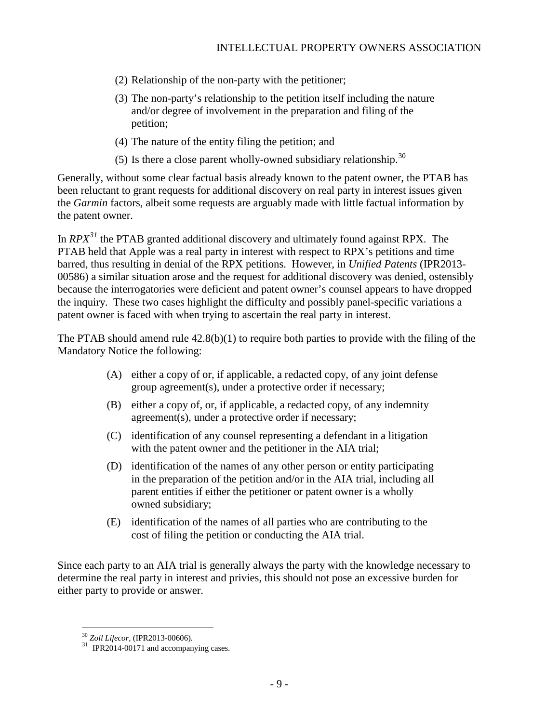- (2) Relationship of the non-party with the petitioner;
- (3) The non-party's relationship to the petition itself including the nature and/or degree of involvement in the preparation and filing of the petition;
- (4) The nature of the entity filing the petition; and
- (5) Is there a close parent wholly-owned subsidiary relationship.<sup>30</sup>

Generally, without some clear factual basis already known to the patent owner, the PTAB has been reluctant to grant requests for additional discovery on real party in interest issues given the *Garmin* factors, albeit some requests are arguably made with little factual information by the patent owner.

In *RPX[31](#page-8-1)* the PTAB granted additional discovery and ultimately found against RPX. The PTAB held that Apple was a real party in interest with respect to RPX's petitions and time barred, thus resulting in denial of the RPX petitions. However, in *Unified Patents* (IPR2013- 00586) a similar situation arose and the request for additional discovery was denied, ostensibly because the interrogatories were deficient and patent owner's counsel appears to have dropped the inquiry. These two cases highlight the difficulty and possibly panel-specific variations a patent owner is faced with when trying to ascertain the real party in interest.

The PTAB should amend rule 42.8(b)(1) to require both parties to provide with the filing of the Mandatory Notice the following:

- (A) either a copy of or, if applicable, a redacted copy, of any joint defense group agreement(s), under a protective order if necessary;
- (B) either a copy of, or, if applicable, a redacted copy, of any indemnity agreement(s), under a protective order if necessary;
- (C) identification of any counsel representing a defendant in a litigation with the patent owner and the petitioner in the AIA trial;
- (D) identification of the names of any other person or entity participating in the preparation of the petition and/or in the AIA trial, including all parent entities if either the petitioner or patent owner is a wholly owned subsidiary;
- (E) identification of the names of all parties who are contributing to the cost of filing the petition or conducting the AIA trial.

Since each party to an AIA trial is generally always the party with the knowledge necessary to determine the real party in interest and privies, this should not pose an excessive burden for either party to provide or answer.

<span id="page-8-1"></span><span id="page-8-0"></span><sup>&</sup>lt;sup>30</sup> *Zoll Lifecor*, (IPR2013-00606).<br><sup>31</sup> IPR2014-00171 and accompanying cases.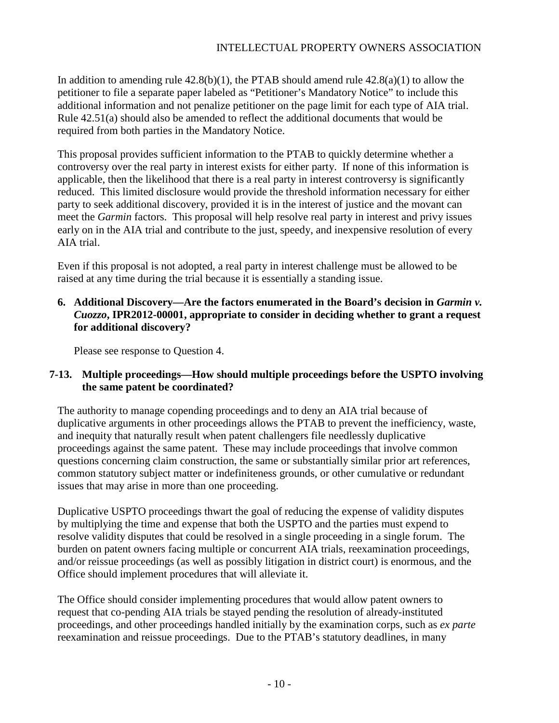In addition to amending rule  $42.8(b)(1)$ , the PTAB should amend rule  $42.8(a)(1)$  to allow the petitioner to file a separate paper labeled as "Petitioner's Mandatory Notice" to include this additional information and not penalize petitioner on the page limit for each type of AIA trial. Rule 42.51(a) should also be amended to reflect the additional documents that would be required from both parties in the Mandatory Notice.

This proposal provides sufficient information to the PTAB to quickly determine whether a controversy over the real party in interest exists for either party. If none of this information is applicable, then the likelihood that there is a real party in interest controversy is significantly reduced. This limited disclosure would provide the threshold information necessary for either party to seek additional discovery, provided it is in the interest of justice and the movant can meet the *Garmin* factors. This proposal will help resolve real party in interest and privy issues early on in the AIA trial and contribute to the just, speedy, and inexpensive resolution of every AIA trial.

Even if this proposal is not adopted, a real party in interest challenge must be allowed to be raised at any time during the trial because it is essentially a standing issue.

# **6.** Additional Discovery—Are the factors enumerated in the Board's decision in *Garmin v*. *Cuozzo***, IPR2012-00001, appropriate to consider in deciding whether to grant a request for additional discovery?**

Please see response to Question 4.

# **7-13. Multiple proceedings—How should multiple proceedings before the USPTO involving the same patent be coordinated?**

The authority to manage copending proceedings and to deny an AIA trial because of duplicative arguments in other proceedings allows the PTAB to prevent the inefficiency, waste, and inequity that naturally result when patent challengers file needlessly duplicative proceedings against the same patent. These may include proceedings that involve common questions concerning claim construction, the same or substantially similar prior art references, common statutory subject matter or indefiniteness grounds, or other cumulative or redundant issues that may arise in more than one proceeding.

Duplicative USPTO proceedings thwart the goal of reducing the expense of validity disputes by multiplying the time and expense that both the USPTO and the parties must expend to resolve validity disputes that could be resolved in a single proceeding in a single forum. The burden on patent owners facing multiple or concurrent AIA trials, reexamination proceedings, and/or reissue proceedings (as well as possibly litigation in district court) is enormous, and the Office should implement procedures that will alleviate it.

The Office should consider implementing procedures that would allow patent owners to request that co-pending AIA trials be stayed pending the resolution of already-instituted proceedings, and other proceedings handled initially by the examination corps, such as *ex parte* reexamination and reissue proceedings. Due to the PTAB's statutory deadlines, in many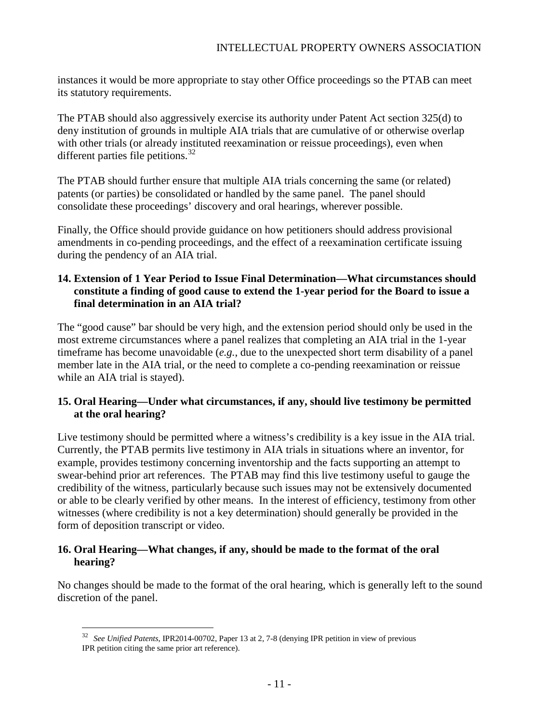instances it would be more appropriate to stay other Office proceedings so the PTAB can meet its statutory requirements.

The PTAB should also aggressively exercise its authority under Patent Act section 325(d) to deny institution of grounds in multiple AIA trials that are cumulative of or otherwise overlap with other trials (or already instituted reexamination or reissue proceedings), even when different parties file petitions. $32$ 

The PTAB should further ensure that multiple AIA trials concerning the same (or related) patents (or parties) be consolidated or handled by the same panel. The panel should consolidate these proceedings' discovery and oral hearings, wherever possible.

Finally, the Office should provide guidance on how petitioners should address provisional amendments in co-pending proceedings, and the effect of a reexamination certificate issuing during the pendency of an AIA trial.

# **14. Extension of 1 Year Period to Issue Final Determination—What circumstances should constitute a finding of good cause to extend the 1-year period for the Board to issue a final determination in an AIA trial?**

The "good cause" bar should be very high, and the extension period should only be used in the most extreme circumstances where a panel realizes that completing an AIA trial in the 1-year timeframe has become unavoidable (*e.g.*, due to the unexpected short term disability of a panel member late in the AIA trial, or the need to complete a co-pending reexamination or reissue while an AIA trial is stayed).

## **15. Oral Hearing—Under what circumstances, if any, should live testimony be permitted at the oral hearing?**

Live testimony should be permitted where a witness's credibility is a key issue in the AIA trial. Currently, the PTAB permits live testimony in AIA trials in situations where an inventor, for example, provides testimony concerning inventorship and the facts supporting an attempt to swear-behind prior art references. The PTAB may find this live testimony useful to gauge the credibility of the witness, particularly because such issues may not be extensively documented or able to be clearly verified by other means. In the interest of efficiency, testimony from other witnesses (where credibility is not a key determination) should generally be provided in the form of deposition transcript or video.

## **16. Oral Hearing—What changes, if any, should be made to the format of the oral hearing?**

<span id="page-10-0"></span>No changes should be made to the format of the oral hearing, which is generally left to the sound discretion of the panel.

 <sup>32</sup> *See Unified Patents*, IPR2014-00702, Paper 13 at 2, 7-8 (denying IPR petition in view of previous IPR petition citing the same prior art reference).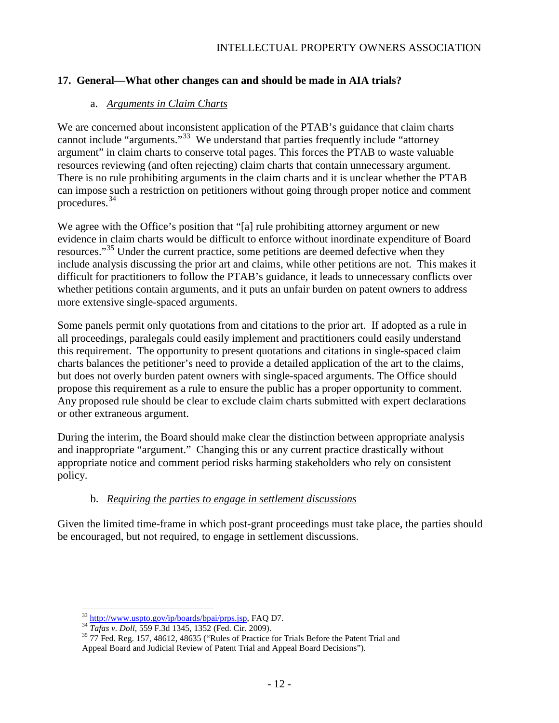# **17. General—What other changes can and should be made in AIA trials?**

# a. *Arguments in Claim Charts*

We are concerned about inconsistent application of the PTAB's guidance that claim charts cannot include "arguments."<sup>33</sup> We understand that parties frequently include "attorney" argument" in claim charts to conserve total pages. This forces the PTAB to waste valuable resources reviewing (and often rejecting) claim charts that contain unnecessary argument. There is no rule prohibiting arguments in the claim charts and it is unclear whether the PTAB can impose such a restriction on petitioners without going through proper notice and comment procedures.[34](#page-11-1)

We agree with the Office's position that "[a] rule prohibiting attorney argument or new evidence in claim charts would be difficult to enforce without inordinate expenditure of Board resources."<sup>[35](#page-11-2)</sup> Under the current practice, some petitions are deemed defective when they include analysis discussing the prior art and claims, while other petitions are not. This makes it difficult for practitioners to follow the PTAB's guidance, it leads to unnecessary conflicts over whether petitions contain arguments, and it puts an unfair burden on patent owners to address more extensive single-spaced arguments.

Some panels permit only quotations from and citations to the prior art. If adopted as a rule in all proceedings, paralegals could easily implement and practitioners could easily understand this requirement. The opportunity to present quotations and citations in single-spaced claim charts balances the petitioner's need to provide a detailed application of the art to the claims, but does not overly burden patent owners with single-spaced arguments. The Office should propose this requirement as a rule to ensure the public has a proper opportunity to comment. Any proposed rule should be clear to exclude claim charts submitted with expert declarations or other extraneous argument.

During the interim, the Board should make clear the distinction between appropriate analysis and inappropriate "argument." Changing this or any current practice drastically without appropriate notice and comment period risks harming stakeholders who rely on consistent policy.

# b. *Requiring the parties to engage in settlement discussions*

Given the limited time-frame in which post-grant proceedings must take place, the parties should be encouraged, but not required, to engage in settlement discussions.

<span id="page-11-2"></span>

<span id="page-11-1"></span><span id="page-11-0"></span><sup>&</sup>lt;sup>33</sup> [http://www.uspto.gov/ip/boards/bpai/prps.jsp,](http://www.uspto.gov/ip/boards/bpai/prps.jsp) FAQ D7.<br><sup>34</sup> *Tafas v. Doll*, 559 F.3d 1345, 1352 (Fed. Cir. 2009).<br><sup>35</sup> 77 Fed. Reg. 157, 48612, 48635 ("Rules of Practice for Trials Before the Patent Trial and Appeal Board and Judicial Review of Patent Trial and Appeal Board Decisions").